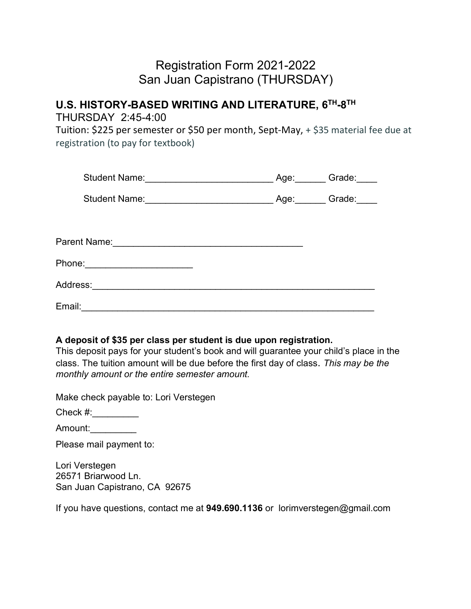# Registration Form 2021-2022 San Juan Capistrano (THURSDAY)

### **U.S. HISTORY-BASED WRITING AND LITERATURE, 6TH-8TH** THURSDAY 2:45-4:00

Tuition: \$225 per semester or \$50 per month, Sept-May, + \$35 material fee due at registration (to pay for textbook)

|                                                                      | Student Name: ________________________                     | Age: | Grade: |
|----------------------------------------------------------------------|------------------------------------------------------------|------|--------|
|                                                                      | <b>Student Name:</b>                                       | Age: | Grade: |
|                                                                      |                                                            |      |        |
| Parent Name:<br><u> 1989 - Johann Stein, Amerikaansk politiker (</u> |                                                            |      |        |
| Phone:                                                               | <u> 1980 - John Stein, mars and de Brazilian (b. 1980)</u> |      |        |
| Address:_                                                            |                                                            |      |        |
| Email:                                                               |                                                            |      |        |

#### **A deposit of \$35 per class per student is due upon registration.**

This deposit pays for your student's book and will guarantee your child's place in the class. The tuition amount will be due before the first day of class. *This may be the monthly amount or the entire semester amount.*

Make check payable to: Lori Verstegen

Check  $\#$ :

Amount:\_\_\_\_\_\_\_\_\_

Please mail payment to:

Lori Verstegen 26571 Briarwood Ln. San Juan Capistrano, CA 92675

If you have questions, contact me at **949.690.1136** or lorimverstegen@gmail.com